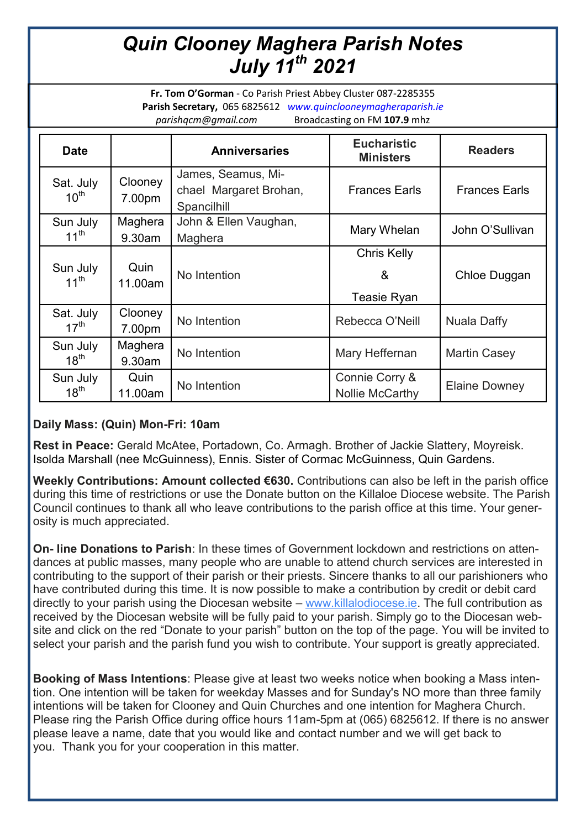## *Quin Clooney Maghera Parish Notes July 11th 2021*

**Fr. Tom O'Gorman** - Co Parish Priest Abbey Cluster 087-2285355 **Parish Secretary,** 065 6825612 *www.quinclooneymagheraparish.ie parishqcm@gmail.com* Broadcasting on FM **107.9** mhz

| <b>Date</b>                   |                      | <b>Anniversaries</b>                                        | <b>Eucharistic</b><br><b>Ministers</b>        | <b>Readers</b>       |
|-------------------------------|----------------------|-------------------------------------------------------------|-----------------------------------------------|----------------------|
| Sat. July<br>$10^{\text{th}}$ | Clooney<br>7.00pm    | James, Seamus, Mi-<br>chael Margaret Brohan,<br>Spancilhill | <b>Frances Earls</b>                          | <b>Frances Earls</b> |
| Sun July<br>$11^{th}$         | Maghera<br>$9.30$ am | John & Ellen Vaughan,<br>Maghera                            | Mary Whelan                                   | John O'Sullivan      |
| Sun July<br>$11^{th}$         | Quin<br>11.00am      | No Intention                                                | <b>Chris Kelly</b><br>&<br><b>Teasie Ryan</b> | Chloe Duggan         |
| Sat. July<br>$17^{\text{th}}$ | Clooney<br>7.00pm    | No Intention                                                | Rebecca O'Neill                               | <b>Nuala Daffy</b>   |
| Sun July<br>$18^{th}$         | Maghera<br>9.30am    | No Intention                                                | Mary Heffernan                                | <b>Martin Casey</b>  |
| Sun July<br>$18^{th}$         | Quin<br>11.00am      | No Intention                                                | Connie Corry &<br>Nollie McCarthy             | Elaine Downey        |

## **Daily Mass: (Quin) Mon-Fri: 10am**

**Rest in Peace:** Gerald McAtee, Portadown, Co. Armagh. Brother of Jackie Slattery, Moyreisk. Isolda Marshall (nee McGuinness), Ennis. Sister of Cormac McGuinness, Quin Gardens.

**Weekly Contributions: Amount collected €630.** Contributions can also be left in the parish office during this time of restrictions or use the Donate button on the Killaloe Diocese website. The Parish Council continues to thank all who leave contributions to the parish office at this time. Your generosity is much appreciated.

**On- line Donations to Parish**: In these times of Government lockdown and restrictions on attendances at public masses, many people who are unable to attend church services are interested in contributing to the support of their parish or their priests. Sincere thanks to all our parishioners who have contributed during this time. It is now possible to make a contribution by credit or debit card directly to your parish using the Diocesan website – [www.killalodiocese.ie.](http://www.killalodiocese.ie/) The full contribution as received by the Diocesan website will be fully paid to your parish. Simply go to the Diocesan website and click on the red "Donate to your parish" button on the top of the page. You will be invited to select your parish and the parish fund you wish to contribute. Your support is greatly appreciated.

**Booking of Mass Intentions**: Please give at least two weeks notice when booking a Mass intention. One intention will be taken for weekday Masses and for Sunday's NO more than three family intentions will be taken for Clooney and Quin Churches and one intention for Maghera Church. Please ring the Parish Office during office hours 11am-5pm at (065) 6825612. If there is no answer please leave a name, date that you would like and contact number and we will get back to you. Thank you for your cooperation in this matter.